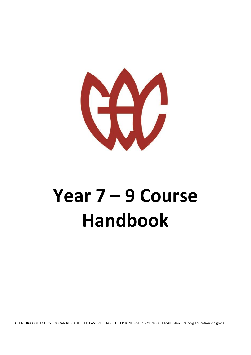

# **Year 7 – 9 Course Handbook**

GLEN EIRA COLLEGE 76 BOORAN RD CAULFIELD EAST VIC 3145 TELEPHONE +613 9571 7838 EMAIL Glen.Eira.co@education.vic.gov.au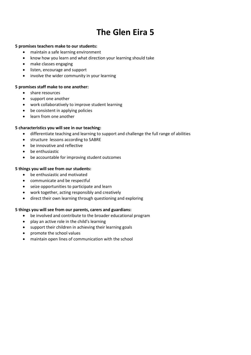# **The Glen Eira 5**

#### **5 promises teachers make to our students:**

- maintain a safe learning environment
- know how you learn and what direction your learning should take
- make classes engaging
- listen, encourage and support
- involve the wider community in your learning

#### **5 promises staff make to one another:**

- share resources
- support one another
- work collaboratively to improve student learning
- be consistent in applying policies
- learn from one another

#### **5 characteristics you will see in our teaching:**

- differentiate teaching and learning to support and challenge the full range of abilities
- structure lessons according to SABRE
- be innovative and reflective
- be enthusiastic
- be accountable for improving student outcomes

#### **5 things you will see from our students:**

- be enthusiastic and motivated
- communicate and be respectful
- seize opportunities to participate and learn
- work together, acting responsibly and creatively
- direct their own learning through questioning and exploring

# **5 things you will see from our parents, carers and guardians:**

- be involved and contribute to the broader educational program
- play an active role in the child's learning
- support their children in achieving their learning goals
- promote the school values
- maintain open lines of communication with the school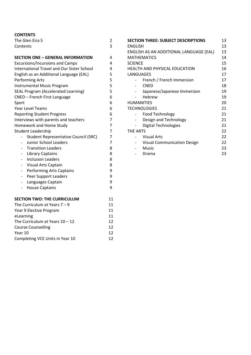# **CONTENTS**

| The Glen Eira 5                                          | 2              |  |  |  |
|----------------------------------------------------------|----------------|--|--|--|
| Contents                                                 | 3              |  |  |  |
|                                                          |                |  |  |  |
| <b>SECTION ONE - GENERAL INFORMATION</b>                 | 4              |  |  |  |
| <b>Excursions/Incursions and Camps</b>                   |                |  |  |  |
| <b>International Travel and Our Sister School</b>        |                |  |  |  |
| English as an Additional Language (EAL)                  |                |  |  |  |
| <b>Performing Arts</b>                                   | 5              |  |  |  |
| <b>Instrumental Music Program</b>                        | 5              |  |  |  |
| <b>SEAL Program (Accelerated Learning)</b>               | 5              |  |  |  |
| CNED - French First Language                             | 6              |  |  |  |
| Sport                                                    | 6              |  |  |  |
| <b>Year Level Teams</b>                                  | 6              |  |  |  |
| <b>Reporting Student Progress</b>                        | 6              |  |  |  |
| Interviews with parents and teachers                     | 7              |  |  |  |
| Homework and Home Study                                  | 7              |  |  |  |
| <b>Student Leadership</b>                                | $\overline{7}$ |  |  |  |
| <b>Student Representative Council (SRC)</b>              | 7              |  |  |  |
| <b>Junior School Leaders</b><br>$\overline{\phantom{0}}$ | 7              |  |  |  |
| <b>Transition Leaders</b><br>$\overline{\phantom{0}}$    | 8              |  |  |  |
| <b>Library Captains</b><br>$\overline{\phantom{0}}$      | 8              |  |  |  |
| <b>Inclusion Leaders</b><br>$\overline{a}$               | 8              |  |  |  |
| Visual Arts Captain                                      | 8              |  |  |  |
| <b>Performing Arts Captains</b>                          | 9              |  |  |  |
| Peer Support Leaders                                     | 9              |  |  |  |
| Languages Captain<br>-                                   | 9              |  |  |  |
| <b>House Captains</b><br>-                               | 9              |  |  |  |
| <b>SECTION TWO: THE CURRICULUM</b>                       | 11             |  |  |  |
| The Curriculum at Years $7 - 9$                          | 11             |  |  |  |
| Year 9 Elective Program                                  | 11             |  |  |  |
| eLearning                                                |                |  |  |  |
| The Curriculum at Years $10 - 12$                        |                |  |  |  |
| <b>Course Counselling</b>                                | 12             |  |  |  |
| Year 10                                                  |                |  |  |  |
| Completing VCE Units in Year 10                          |                |  |  |  |

|                                         | <b>SECTION THREE: SUBJECT DESCRIPTIONS</b> | 13 |  |  |
|-----------------------------------------|--------------------------------------------|----|--|--|
| <b>ENGLISH</b>                          |                                            | 13 |  |  |
| ENGLISH AS AN ADDITIONAL LANGUAGE (EAL) |                                            |    |  |  |
|                                         | <b>MATHEMATICS</b>                         | 14 |  |  |
| <b>SCIENCE</b>                          |                                            | 15 |  |  |
| HEALTH AND PHYSICAL EDUCATION           |                                            |    |  |  |
| LANGUAGES                               |                                            | 17 |  |  |
|                                         | French / French Immersion                  | 17 |  |  |
|                                         | <b>CNED</b>                                | 18 |  |  |
|                                         | Japanese/Japanese Immersion                | 19 |  |  |
|                                         | Hebrew                                     | 19 |  |  |
|                                         | <b>HUMANITIES</b>                          | 20 |  |  |
|                                         | <b>TECHNOLOGIES</b>                        | 21 |  |  |
|                                         | <b>Food Technology</b>                     | 21 |  |  |
|                                         | Design and Technology                      | 21 |  |  |
|                                         | Digital Technologies                       | 21 |  |  |
| <b>THE ARTS</b>                         |                                            | 22 |  |  |
|                                         | <b>Visual Arts</b>                         | 22 |  |  |
|                                         | <b>Visual Communication Design</b>         | 22 |  |  |
|                                         | <b>Music</b>                               | 23 |  |  |
|                                         | Drama                                      | 23 |  |  |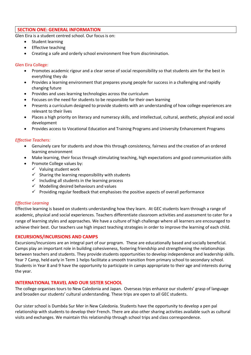# **SECTION ONE: GENERAL INFORMATION**

Glen Eira is a student centred school. Our focus is on:

- Student learning
- Effective teaching
- Creating a safe and orderly school environment free from discrimination.

#### Glen Eira College:

- Promotes academic rigour and a clear sense of social responsibility so that students aim for the best in everything they do
- Provides a learning environment that prepares young people for success in a challenging and rapidly changing future
- Provides and uses learning technologies across the curriculum
- Focuses on the need for students to be responsible for their own learning
- Presents a curriculum designed to provide students with an understanding of how college experiences are relevant to their lives
- Places a high priority on literacy and numeracy skills, and intellectual, cultural, aesthetic, physical and social development
- Provides access to Vocational Education and Training Programs and University Enhancement Programs

#### *Effective Teachers:*

- Genuinely care for students and show this through consistency, fairness and the creation of an ordered learning environment
- Make learning, their focus through stimulating teaching, high expectations and good communication skills
- Promote College values by:
	- $\checkmark$  Valuing student work
	- $\checkmark$  Sharing the learning responsibility with students
	- $\checkmark$  Including all students in the learning process
	- $\checkmark$  Modelling desired behaviours and values
	- $\checkmark$  Providing regular feedback that emphasises the positive aspects of overall performance

#### *Effective Learning*

Effective learning is based on students understanding how they learn. At GEC students learn through a range of academic, physical and social experiences. Teachers differentiate classroom activities and assessment to cater for a range of learning styles and approaches. We have a culture of high challenge where all learners are encouraged to achieve their best. Our teachers use high impact teaching strategies in order to improve the learning of each child.

#### **EXCURSIONS/INCURSIONS AND CAMPS**

Excursions/Incursions are an integral part of our program. These are educationally based and socially beneficial. Camps play an important role in building cohesiveness, fostering friendship and strengthening the relationships between teachers and students. They provide students opportunities to develop independence and leadership skills. Year 7 Camp, held early in Term 1 helps facilitate a smooth transition from primary school to secondary school. Students in Year 8 and 9 have the opportunity to participate in camps appropriate to their age and interests during the year.

#### **INTERNATIONAL TRAVEL AND OUR SISTER SCHOOL**

The college organises tours to New Caledonia and Japan. Overseas trips enhance our students' grasp of language and broaden our students' cultural understanding. These trips are open to all GEC students.

Our sister school is Dumbéa Sur Mer in New Caledonia. Students have the opportunity to develop a pen pal relationship with students to develop their French. There are also other sharing activities available such as cultural visits and exchanges. We maintain this relationship through school trips and class correspondence.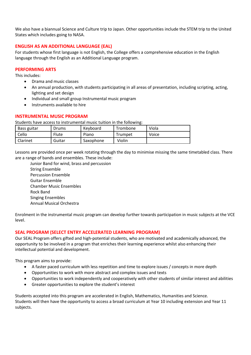We also have a biannual Science and Culture trip to Japan. Other opportunities include the STEM trip to the United States which includes going to NASA.

# **ENGLISH AS AN ADDITIONAL LANGUAGE (EAL)**

For students whose first language is not English, the College offers a comprehensive education in the English language through the English as an Additional Language program.

# **PERFORMING ARTS**

This includes:

- Drama and music classes
- An annual production, with students participating in all areas of presentation, including scripting, acting, lighting and set design
- Individual and small group Instrumental music program
- Instruments available to hire

#### **INSTRUMENTAL MUSIC PROGRAM**

Students have access to instrumental music tuition in the following:

| Bass guitar | Drums  | Keyboard  | Trombone | Viola |
|-------------|--------|-----------|----------|-------|
| Cello       | Flute  | Piano     | Trumpet  | Voice |
| Clarinet    | Guitar | Saxophone | Violin   |       |

Lessons are provided once per week rotating through the day to minimise missing the same timetabled class. There are a range of bands and ensembles. These include:

Junior Band for wind, brass and percussion String Ensemble Percussion Ensemble Guitar Ensemble Chamber Music Ensembles Rock Band Singing Ensembles Annual Musical Orchestra

Enrolment in the instrumental music program can develop further towards participation in music subjects at the VCE level.

# **SEAL PROGRAM (SELECT ENTRY ACCELERATED LEARNING PROGRAM)**

Our SEAL Program offers gifted and high-potential students, who are motivated and academically advanced, the opportunity to be involved in a program that enriches their learning experience whilst also enhancing their intellectual potential and development.

This program aims to provide:

- A faster paced curriculum with less repetition and time to explore issues / concepts in more depth
- Opportunities to work with more abstract and complex issues and texts
- Opportunities to work independently and cooperatively with other students of similar interest and abilities
- Greater opportunities to explore the student's interest

Students accepted into this program are accelerated in English, Mathematics, Humanities and Science. Students will then have the opportunity to access a broad curriculum at Year 10 including extension and Year 11 subjects.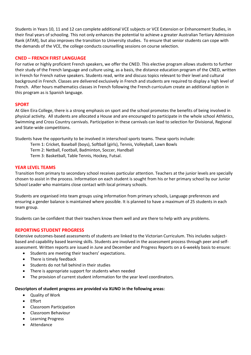Students in Years 10, 11 and 12 can complete additional VCE subjects or VCE Extension or Enhancement Studies, in their final years of schooling. This not only enhances the potential to achieve a greater Australian Tertiary Admission Rank (ATAR), but also improves the transition to University studies. To ensure that senior students can cope with the demands of the VCE, the college conducts counselling sessions on course selection.

#### **CNED – FRENCH FIRST LANGUAGE**

For native or highly proficient French speakers, we offer the CNED. This elective program allows students to further their study of the French language and culture using, as a basis, the distance education program of the CNED, written in French for French native speakers. Students read, write and discuss topics relevant to their level and cultural background in French. Classes are delivered exclusively in French and students are required to display a high level of French. After hours mathematics classes in French following the French curriculum create an additional option in this program as is Spanish language.

#### **SPORT**

At Glen Eira College, there is a strong emphasis on sport and the school promotes the benefits of being involved in physical activity. All students are allocated a House and are encouraged to participate in the whole school Athletics, Swimming and Cross Country carnivals. Participation in these carnivals can lead to selection for Divisional, Regional and State-wide competitions.

Students have the opportunity to be involved in interschool sports teams. These sports include:

- Term 1: Cricket, Baseball (boys), Softball (girls), Tennis, Volleyball, Lawn Bowls
- Term 2: Netball, Football, Badminton, Soccer, Handball
- Term 3: Basketball, Table Tennis, Hockey, Futsal.

#### **YEAR LEVEL TEAMS**

Transition from primary to secondary school receives particular attention. Teachers at the junior levels are specially chosen to assist in the process. Information on each student is sought from his or her primary school by our Junior School Leader who maintains close contact with local primary schools.

Students are organised into team groups using information from primary schools, Language preferences and ensuring a gender balance is maintained where possible. It is planned to have a maximum of 25 students in each team group.

Students can be confident that their teachers know them well and are there to help with any problems.

#### **REPORTING STUDENT PROGRESS**

Extensive outcomes-based assessments of students are linked to the Victorian Curriculum. This includes subjectbased and capability based learning skills. Students are involved in the assessment process through peer and selfassessment. Written reports are issued in June and December and Progress Reports on a 6-weekly basis to ensure:

- Students are meeting their teachers' expectations.
- There is timely feedback
- Students do not fall behind in their studies
- There is appropriate support for students when needed
- The provision of current student information for the year level coordinators.

#### **Descriptors of student progress are provided via XUNO in the following areas:**

- Quality of Work
- Effort
- Classroom Participation
- Classroom Behaviour
- Learning Progress
- Attendance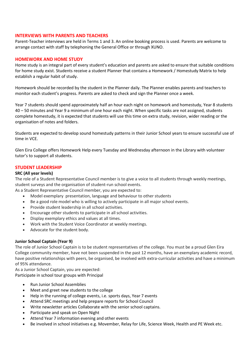#### **INTERVIEWS WITH PARENTS AND TEACHERS**

Parent-Teacher interviews are held in Terms 1 and 3. An online booking process is used. Parents are welcome to arrange contact with staff by telephoning the General Office or through XUNO.

#### **HOMEWORK AND HOME STUDY**

Home study is an integral part of every student's education and parents are asked to ensure that suitable conditions for home study exist. Students receive a student Planner that contains a Homework / Homestudy Matrix to help establish a regular habit of study.

Homework should be recorded by the student in the Planner daily. The Planner enables parents and teachers to monitor each student's progress. Parents are asked to check and sign the Planner once a week.

Year 7 students should spend approximately half an hour each night on homework and homestudy, Year 8 students 40 – 50 minutes and Year 9 a minimum of one hour each night. When specific tasks are not assigned, students complete homestudy, it is expected that students will use this time on extra study, revision, wider reading or the organisation of notes and folders.

Students are expected to develop sound homestudy patterns in their Junior School years to ensure successful use of time in VCE.

Glen Eira College offers Homework Help every Tuesday and Wednesday afternoon in the Library with volunteer tutor's to support all students.

#### **STUDENT LEADERSHIP**

#### **SRC (All year levels)**

The role of a Student Representative Council member is to give a voice to all students through weekly meetings, student surveys and the organisation of student-run school events.

As a Student Representative Council member, you are expected to:

- Model exemplary presentation, language and behaviour to other students
- Be a good role model who is willing to actively participate in all major school events.
- Provide student leadership in all school activities.
- Encourage other students to participate in all school activities.
- Display exemplary ethics and values at all times.
- Work with the Student Voice Coordinator at weekly meetings.
- Advocate for the student body.

#### **Junior School Captain (Year 9)**

The role of Junior School Captain is to be student representatives of the college. You must be a proud Glen Eira College community member, have not been suspended in the past 12 months, have an exemplary academic record, have positive relationships with peers, be organised, be involved with extra-curricular activities and have a minimum of 95% attendance.

As a Junior School Captain, you are expected: Participate in school tour groups with Principal

- Run Junior School Assemblies
- Meet and greet new students to the college
- Help in the running of college events, i.e. sports days, Year 7 events
- Attend SRC meetings and help prepare reports for School Council
- Write newsletter articles Collaborate with the senior school captains.
- Participate and speak on Open Night
- Attend Year 7 information evening and other events
- Be involved in school initiatives e.g. Movember, Relay for Life, Science Week, Health and PE Week etc.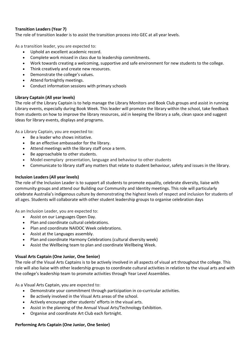# **Transition Leaders (Year 7)**

The role of transition leader is to assist the transition process into GEC at all year levels.

As a transition leader, you are expected to:

- Uphold an excellent academic record.
- Complete work missed in class due to leadership commitments.
- Work towards creating a welcoming, supportive and safe environment for new students to the college.
- Think creatively and create new resources.
- Demonstrate the college's values.
- Attend fortnightly meetings.
- Conduct information sessions with primary schools

# **Library Captain (All year levels)**

The role of the Library Captain is to help manage the Library Monitors and Book Club groups and assist in running Library events, especially during Book Week. This leader will promote the library within the school, take feedback from students on how to improve the library resources, aid in keeping the library a safe, clean space and suggest ideas for library events, displays and programs.

As a Library Captain, you are expected to:

- Be a leader who shows initiative.
- Be an effective ambassador for the library.
- Attend meetings with the library staff once a term.
- Be approachable to other students.
- Model exemplary presentation, language and behaviour to other students
- Communicate to library staff any matters that relate to student behaviour, safety and issues in the library.

#### **Inclusion Leaders (All year levels)**

The role of the Inclusion Leader is to support all students to promote equality, celebrate diversity, liaise with community groups and attend our Building our Community and Identity meetings. This role will particularly celebrate Australia's indigenous culture by demonstrating the highest levels of respect and inclusion for students of all ages. Students will collaborate with other student leadership groups to organise celebration days

As an Inclusion Leader, you are expected to:

- Assist on our Languages Open Day.
- Plan and coordinate cultural celebrations.
- Plan and coordinate NAIDOC Week celebrations.
- Assist at the Languages assembly.
- Plan and coordinate Harmony Celebrations (cultural diversity week)
- Assist the Wellbeing team to plan and coordinate Wellbeing Week.

# **Visual Arts Captain (One Junior, One Senior)**

The role of the Visual Arts Captains is to be actively involved in all aspects of visual art throughout the college. This role will also liaise with other leadership groups to coordinate cultural activities in relation to the visual arts and with the college's leadership team to promote activities through Year Level Assemblies.

As a Visual Arts Captain, you are expected to:

- Demonstrate your commitment through participation in co-curricular activities.
- Be actively involved in the Visual Arts areas of the school.
- Actively encourage other students' efforts in the visual arts.
- Assist in the planning of the Annual Visual Arts/Technology Exhibition.
- Organise and coordinate Art Club each fortnight.

# **Performing Arts Captain (One Junior, One Senior)**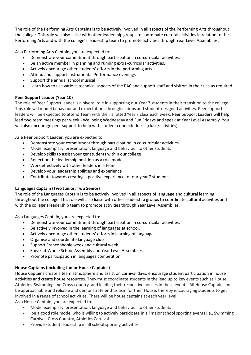The role of the Performing Arts Captains is to be actively involved in all aspects of the Performing Arts throughout the college. This role will also liaise with other leadership groups to coordinate cultural activities in relation to the Performing Arts and with the college's leadership team to promote activities through Year Level Assemblies.

As a Performing Arts Captain, you are expected to:

- Demonstrate your commitment through participation in co-curricular activities.
- Be an active member in planning and running extra-curricular activities.
- Actively encourage other students' efforts in the performing arts.
- Attend and support Instrumental Performance evenings
- Support the annual school musical
- Learn how to use various technical aspects of the PAC and support staff and visitors in their use as required

# **Peer Support Leader (Year 10)**

The role of Peer Support leader is a pivotal role in supporting our Year 7 students in their transition to the college. This role will model behaviour and expectations through actions and student-designed activities. Peer support leaders will be expected to attend Team with their allotted Year 7 class each week. Peer Support Leaders will help lead two team meetings per week - Wellbeing Wednesday and Fun Fridays and speak at Year Level Assembly. You will also encourage peer support to help with student connectedness (clubs/activities).

As a Peer Support Leader, you are expected to:

- Demonstrate your commitment through participation in co-curricular activities.
- Model exemplary presentation, language and behaviour to other students
- Develop skills to assist younger students within our college
- Reflect on the leadership position as a role model
- Work effectively with other leaders in a team
- Develop your leadership abilities and experience
- Contribute towards creating a positive experience for our year 7 students

# **Languages Captain (Two Junior, Two Senior)**

The role of the Languages Captain is to be actively involved in all aspects of language and cultural learning throughout the college. This role will also liaise with other leadership groups to coordinate cultural activities and with the college's leadership team to promote activities through Year Level Assemblies.

As a Languages Captain, you are expected to:

- Demonstrate your commitment through participation in co-curricular activities.
- Be actively involved in the learning of languages at school.
- Actively encourage other students' efforts in learning of languages
- Organise and coordinate language club
- Support Francophonie week and cultural week
- Speak at Whole School Assembly and Year Level Assemblies
- Promote participation in languages competition

# **House Captains (including Junior House Captains)**

House Captains create a team atmosphere and assist on carnival days, encourage student participation in house activities and create house resources. They must coordinate students in the lead up to key events such as House Athletics, Swimming and Cross-country, and leading their respective houses in these events. All House Captains must be approachable and reliable and demonstrate enthusiasm for their House, thereby encouraging students to get involved in a range of school activities. There will be house captains at each year level.

As a House Captain, you are expected to:

- Model exemplary presentation, language and behaviour to other students
- be a good role model who is willing to actively participate in all major school sporting events i.e., Swimming Carnival, Cross Country, Athletics Carnival
- Provide student leadership in all school sporting activities.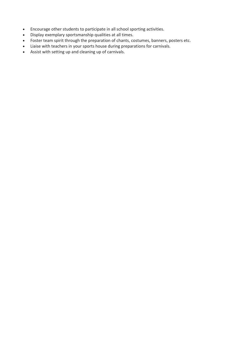- Encourage other students to participate in all school sporting activities.
- Display exemplary sportsmanship qualities at all times.
- Foster team spirit through the preparation of chants, costumes, banners, posters etc.
- Liaise with teachers in your sports house during preparations for carnivals.
- Assist with setting up and cleaning up of carnivals.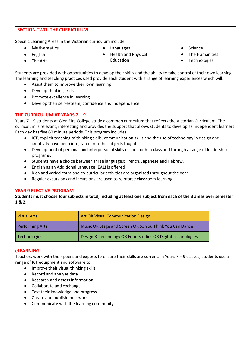#### **SECTION TWO: THE CURRICULUM**

Specific Learning Areas in the Victorian curriculum include:

• Mathematics

Languages

- English
- The Arts
- Health and Physical Education
- Science
- The Humanities
- Technologies

Students are provided with opportunities to develop their skills and the ability to take control of their own learning. The learning and teaching practices used provide each student with a range of learning experiences which will:

- Assist them to improve their own learning
- Develop thinking skills
- Promote excellence in learning
- Develop their self-esteem, confidence and independence

# **THE CURRICULUM AT YEARS 7 – 9**

Years 7 – 9 students at Glen Eira College study a common curriculum that reflects the Victorian Curriculum. The curriculum is relevant, interesting and provides the support that allows students to develop as independent learners. Each day has five 60 minute periods. This program includes:

- ICT, explicit teaching of thinking skills, communication skills and the use of technology in design and creativity have been integrated into the subjects taught.
- Development of personal and interpersonal skills occurs both in class and through a range of leadership programs.
- Students have a choice between three languages; French, Japanese and Hebrew.
- English as an Additional Language (EAL) is offered
- Rich and varied extra and co-curricular activities are organised throughout the year.
- Regular excursions and incursions are used to reinforce classroom learning.

# **YEAR 9 ELECTIVE PROGRAM**

**Students must choose four subjects in total, including at least one subject from each of the 3 areas over semester 1 & 2.** 

| <b>Visual Arts</b>     | <b>Art OR Visual Communication Design</b>                   |
|------------------------|-------------------------------------------------------------|
| <b>Performing Arts</b> | Music OR Stage and Screen OR So You Think You Can Dance     |
| Technologies           | Design & Technology OR Food Studies OR Digital Technologies |

#### **eLEARNING**

Teachers work with their peers and experts to ensure their skills are current. In Years 7 – 9 classes, students use a range of ICT equipment and software to:

- Improve their visual thinking skills
- Record and analyse data
- Research and assess information
- Collaborate and exchange
- Test their knowledge and progress
- Create and publish their work
- Communicate with the learning community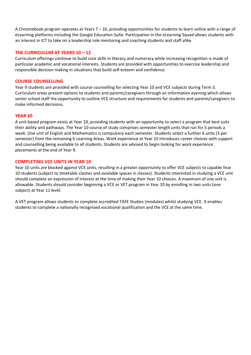A Chromebook program operates at Years 7 – 10, providing opportunities for students to learn online with a range of eLearning platforms including the Google Education Suite. Participation in the eLearning Squad allows students with an interest in ICT to take on a leadership role mentoring and coaching students and staff alike.

#### **THE CURRICULUM AT YEARS 10 – 12**

Curriculum offerings continue to build core skills in literacy and numeracy while increasing recognition is made of particular academic and vocational interests. Students are provided with opportunities to exercise leadership and responsible decision making in situations that build self-esteem and confidence.

#### **COURSE COUNSELLING**

Year 9 students are provided with course counselling for selecting Year 10 and VCE subjects during Term 3. Curriculum areas present options to students and parents/caregivers through an information evening which allows senior school staff the opportunity to outline VCE structure and requirements for students and parents/caregivers to make informed decisions.

#### **YEAR 10**

A unit-based program exists at Year 10, providing students with an opportunity to select a program that best suits their ability and pathways. The Year 10 course of study comprises semester length units that run for 5 periods a week. One unit of English and Mathematics is compulsory each semester. Students select a further 6 units (3 per semester) from the remaining 6 Learning Areas. Work experience at Year 10 introduces career choices with support and counselling being available to all students. Students are advised to begin looking for work experience placements at the end of Year 9.

#### **COMPLETING VCE UNITS IN YEAR 10**

Year 10 units are blocked against VCE units, resulting in a greater opportunity to offer VCE subjects to capable Year 10 students (subject to timetable clashes and available spaces in classes). Students interested in studying a VCE unit should complete an expression of interest at the time of making their Year 10 choices. A maximum of one unit is allowable. Students should consider beginning a VCE or VET program in Year 10 by enrolling in two units (one subject) at Year 11 level.

A VET program allows students to complete accredited TAFE Studies (modules) whilst studying VCE. It enables students to complete a nationally recognised vocational qualification and the VCE at the same time.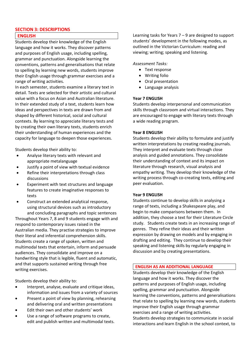# **SECTION 3: DESCRIPTIONS**

#### **ENGLISH**

Students develop their knowledge of the English language and how it works. They discover patterns and purposes of English usage, including spelling, grammar and punctuation. Alongside learning the conventions, patterns and generalisations that relate to spelling by learning new words, students improve their English usage through grammar exercises and a range of writing activities.

In each semester, students examine a literary text in detail. Texts are selected for their artistic and cultural value with a focus on Asian and Australian literature. In their extended study of a text, students learn how ideas and perspectives in texts are drawn from and shaped by different historical, social and cultural contexts. By learning to appreciate literary tests and by creating their own literary texts, students enrich their understanding of human experiences and the capacity for language to deepen those experiences.

Students develop their ability to:

- Analyse literary texts with relevant and appropriate metalanguage
- Justify a point of view with textual evidence
- Refine their interpretations through class discussions
- Experiment with text structures and language features to create imaginative responses to texts
- Construct an extended analytical response, using structural devices such as introductory and concluding paragraphs and topic sentences

Throughout Years 7, 8 and 9 students engage with and respond to contemporary issues raised in the Australian media. They practise strategies to improve their literal and inferential comprehension skills. Students create a range of spoken, written and multimodal texts that entertain, inform and persuade audiences. They consolidate and improve on a handwriting style that is legible, fluent and automatic, and that supports sustained writing through free writing exercises.

Students develop their ability to:

- Interpret, analyse, evaluate and critique ideas, information and issues from a variety of sources
- Present a point of view by planning, rehearsing and delivering oral and written presentations
- Edit their own and other students' work
- Use a range of software programs to create, edit and publish written and multimodal texts.

Learning tasks for Years 7 – 9 are designed to support students' development in the following modes, as outlined in the Victorian Curriculum: reading and viewing; writing; speaking and listening.

#### *Assessment Tasks:*

- Text response
- Writing folio
- Oral presentation
- Language analysis

#### **Year 7 ENGLISH**

Students develop interpersonal and communication skills through classroom and virtual interactions. They are encouraged to engage with literary texts through a wide reading program.

#### **Year 8 ENGLISH**

Students develop their ability to formulate and justify written interpretations by creating reading journals. They interpret and evaluate texts through close analysis and guided annotations. They consolidate their understanding of context and its impact on literature through research, visual analysis and empathy writing. They develop their knowledge of the writing process through co-creating texts, editing and peer evaluation.

#### **Year 9 ENGLISH**

Students continue to develop skills in analysing a range of texts, including a Shakespeare play, and begin to make comparisons between them. In addition, they choose a text for their Literature Circle study. Students create texts in an increasing range of genres. They refine their ideas and their written expression by drawing on models and by engaging in drafting and editing. They continue to develop their speaking and listening skills by regularly engaging in discussion and by creating presentations.

#### **ENGLISH AS AN ADDITIONAL LANGUAGE**

Students develop their knowledge of the English language and how it works. They discover the patterns and purposes of English usage, including spelling, grammar and punctuation. Alongside learning the conventions, patterns and generalisations that relate to spelling by learning new words, students improve their English usage through grammar exercises and a range of writing activities. Students develop strategies to communicate in social interactions and learn English in the school context, to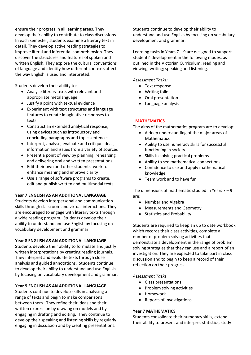ensure their progress in all learning areas. They develop their ability to contribute to class discussions. In each semester, students examine a literary text in detail. They develop active reading strategies to improve literal and inferential comprehension. They discover the structures and features of spoken and written English. They explore the cultural conventions of language and identify how different contexts affect the way English is used and interpreted.

Students develop their ability to:

- Analyse literary texts with relevant and appropriate metalanguage
- Justify a point with textual evidence
- Experiment with text structures and language features to create imaginative responses to texts
- Construct an extended analytical response, using devices such as introductory and concluding paragraphs and topic sentences
- Interpret, analyse, evaluate and critique ideas, information and issues from a variety of sources
- Present a point of view by planning, rehearsing and delivering oral and written presentations
- Edit their own and other students' work to enhance meaning and improve clarity
- Use a range of software programs to create, edit and publish written and multimodal texts

#### **Year 7 ENGLISH AS AN ADDITIONAL LANGUAGE**

Students develop interpersonal and communication skills through classroom and virtual interactions. They are encouraged to engage with literary texts through a wide reading program. Students develop their ability to understand and use English by focusing on vocabulary development and grammar.

#### **Year 8 ENGLISH AS AN ADDITIONAL LANGUAGE**

Students develop their ability to formulate and justify written interpretations by creating reading journals. They interpret and evaluate texts through close analysis and guided annotations. Students continue to develop their ability to understand and use English by focusing on vocabulary development and grammar.

#### **Year 9 ENGLISH AS AN ADDITIONAL LANGUAGE**

Students continue to develop skills in analysing a range of texts and begin to make comparisons between them. They refine their ideas and their written expression by drawing on models and by engaging in drafting and editing. They continue to develop their speaking and listening skills by regularly engaging in discussion and by creating presentations.

Students continue to develop their ability to understand and use English by focusing on vocabulary development and grammar.

Learning tasks in Years 7 – 9 are designed to support students' development in the following modes, as outlined in the Victorian Curriculum: reading and viewing; writing; speaking and listening.

*Assessment Tasks:*

- Text response
- Writing folio
- Oral presentation
- Language analysis

#### **MATHEMATICS**

The aims of the mathematics program are to develop:

- A deep understanding of the major areas of Mathematics
- Ability to use numeracy skills for successful functioning in society
- Skills in solving practical problems
- Ability to see mathematical connections
- Confidence to use and apply mathematical knowledge
- Team work and to have fun

The dimensions of mathematic studied in Years 7 – 9 are:

- Number and Algebra
- Measurements and Geometry
- Statistics and Probability

Students are required to keep an up to date workbook which records their class activities, complete a number of problem solving activities that demonstrate a development in the range of problem solving strategies that they can use and a report of an investigation. They are expected to take part in class discussion and to begin to keep a record of their reflection on their progress.

#### *Assessment Tasks*

- Class presentations
- Problem solving activities
- Homework
- Reports of investigations

# **Year 7 MATHEMATICS**

Students consolidate their numeracy skills, extend their ability to present and interpret statistics, study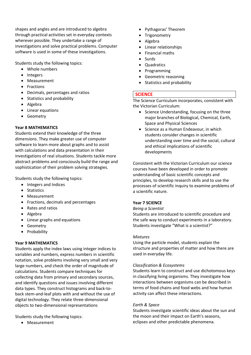shapes and angles and are introduced to algebra through practical activities set in everyday contexts wherever possible. They undertake a range of investigations and solve practical problems. Computer software is used in some of these investigations.

Students study the following topics:

- Whole numbers
- Integers
- Measurement
- **•** Fractions
- Decimals, percentages and ratios
- Statistics and probability
- Algebra
- Linear equations
- Geometry

# **Year 8 MATHEMATICS**

Students extend their knowledge of the three dimensions. They make greater use of computer software to learn more about graphs and to assist with calculations and data presentation in their investigations of real situations. Students tackle more abstract problems and consciously build the range and sophistication of their problem solving strategies.

Students study the following topics:

- Integers and Indices
- Statistics
- Measurement
- Fractions, decimals and percentages
- Rates and ratios
- Algebra
- Linear graphs and equations
- Geometry
- Probability

#### **Year 9 MATHEMATICS**

Students apply the index laws using integer indices to variables and numbers, express numbers in scientific notation, solve problems involving very small and very large numbers, and check the order of magnitude of calculations. Students compare techniques for collecting data from primary and secondary sources, and identify questions and issues involving different data types. They construct histograms and back-toback stem-and-leaf plots with and without the use of digital technology. They relate three-dimensional objects to two-dimensional representations

Students study the following topics:

Measurement

- Pythagoras' Theorem
- Trigonometry
- Algebra
- Linear relationships
- Financial maths
- Surds
- Quadratics
- Programming
- Geometric reasoning
- Statistics and probability

# **SCIENCE**

The Science Curriculum incorporates, consistent with the Victorian Curriculum:

- Science Understanding, focusing on the three major branches of Biological, Chemical, Earth, Space and Physical Sciences
- Science as a Human Endeavour, in which students consider changes in scientific understanding over time and the social, cultural and ethical implications of scientific developments

Consistent with the Victorian Curriculum our science courses have been developed in order to promote understanding of basic scientific concepts and principles, to develop research skills and to use the processes of scientific inquiry to examine problems of a scientific nature.

#### **Year 7 SCIENCE**

#### *Being a Scientist*

Students are introduced to scientific procedure and the safe way to conduct experiments in a laboratory. Students investigate "What is a scientist?"

#### *Mixtures*

Using the particle model, students explain the structure and properties of matter and how there are used in everyday life.

#### *Classification & Ecosystems*

Students learn to construct and use dichotomous keys in classifying living organisms. They investigate how interactions between organisms can be described in terms of food chains and food webs and how human activity can affect these interactions.

#### *Earth & Space*

Students investigate scientific ideas about the sun and the moon and their impact on Earth's seasons, eclipses and other predictable phenomena.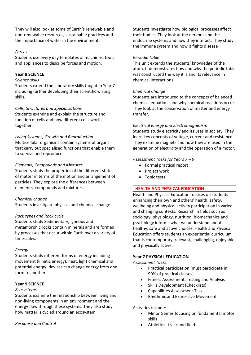They will also look at some of Earth's renewable and non-renewable resources, sustainable practices and the importance of water in the environment.

#### *Forces*

Students use every day templates of machines, tools and appliances to describe forces and motion.

#### **Year 8 SCIENCE**

#### S*cience skills*

Students extend the laboratory skills taught in Year 7 including further developing their scientific writing skills.

#### *Cells, Structures and Specialisations*

Students examine and explain the structure and function of cells and how different cells work together.

#### *Living Systems, Growth and Reproduction*

Multicellular organisms contain systems of organs that carry out specialised functions that enable them to survive and reproduce.

#### *Elements, Compounds and Mixtures*

Students study the properties of the different states of matter in terms of the motion and arrangement of particles. They explore the differences between elements, compounds and mixtures.

#### *Chemical change*

Students investigate physical and chemical change.

#### *Rock types and Rock cycle*

Students study Sedimentary, igneous and metamorphic rocks contain minerals and are formed by processes that occur within Earth over a variety of timescales.

#### *Energy*

Students study different forms of energy including movement (kinetic energy), heat, light chemical and potential energy; devices can change energy from one form to another.

#### **Year 9 SCIENCE**

#### *Ecosystems*

Students examine the relationship between living and non-living components in an environment and the energy flow through these systems. They also study how matter is cycled around an ecosystem.

#### *Response and Control*

Students investigate how biological processes affect their bodies. They look at the nervous and the endocrine systems and how they interact. They study the immune system and how it fights disease

#### *Periodic Table*

This unit extends the students' knowledge of the atom. It demonstrates how and why the periodic table was constructed the way it is and its relevance in chemical interactions.

#### *Chemical Change*

Students are introduced to the concepts of balanced chemical equations and why chemical reactions occur. They look at the conservation of matter and energy transfer.

#### *Electrical energy and Electromagnetism*

Students study electricity and its uses in society. They learn key concepts of voltage, current and resistance. They examine magnets and how they are used in the generation of electricity and the operation of a motor.

#### *Assessment Tasks for Years 7 – 9*

- Formal practical report
- Project work
- Topic tests

#### **HEALTH AND PHYSICAL EDUCATION**

Health and Physical Education focuses on students enhancing their own and others' health, safety, wellbeing and physical activity participation in varied and changing contexts. Research in fields such as sociology, physiology, nutrition, biomechanics and psychology informs what we understand about healthy, safe and active choices. Health and Physical Education offers students an experiential curriculum that is contemporary, relevant, challenging, enjoyable and physically active.

#### **Year 7 PHYSICAL EDUCATION**

*Assessment Tasks*

- Practical participation (must participate in 90% of practical classes)
- Fitness Assessment: Testing and Analysis
- Skills Development (Checklists)
- Capabilities Assessment Task
- Rhythmic and Expressive Movement

#### Activities include:

- Minor Games focusing on fundamental motor skills
- Athletics track and field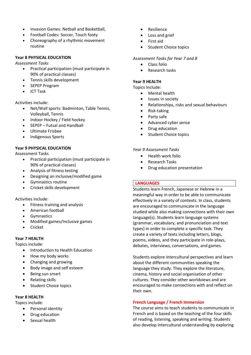- Invasion Games: Netball and Basketball,
- Football Codes: Soccer, Touch footy
- Choreography of a rhythmic movement routine

#### **Year 8 PHYSICAL EDUCATION**

*Assessment Tasks*

- Practical participation (must participate in 90% of practical classes)
- Tennis skills development
- SEPEP Program
- ICT Task

Activities include:

- Net/Wall sports: Badminton, Table Tennis, Volleyball, Tennis
- Indoor Hockey / Field hockey
- SEPEP Futsal and Handball
- Ultimate Frisbee
- Indigenous Sports

#### **Year 9 PHYSICAL EDUCATION**

Assessment Tasks

- Practical participation (must participate in 90% of practical classes)
- Analysis of fitness testing
- Designing an inclusive/modified game
- Gymnastics routine
- Cricket skills development

Activities include:

- Fitness training and analysis
- American football
- **•** Gymnastics
- Modified games/Inclusive games
- Cricket

# **Year 7 HEALTH**

Topics include:

- Introduction to Health Education
- How my body works
- Changing and growing
- Body image and self esteem
- Being sun smart
- Relating skills
- Student Choice topics

# **Year 8 HEALTH**

Topics include:

- Personal identity
- Drug education
- Sexual health
- Resilience
- Loss and grief
- First aid
- Student Choice topics

#### *Assessment Tasks for Year 7 and 8*

- **Class folio**
- Research tasks

#### **Year 9 HEALTH**

Topics Include:

- Mental health
- Issues in society
- Relationships, risks and sexual behaviours
- Risk-taking
- Party safe
- Advanced cyber sense
- Drug education
- Student Choice topics

#### *Year 9 Assessment Tasks*

- Health work folio
- Research Tasks
- Drug education presentation

#### **LANGUAGES**

Students learn French, Japanese or Hebrew in a meaningful way in order to be able to communicate effectively in a variety of contexts. In class, students are encouraged to communicate in the language studied while also making connections with their own language(s). Students learn language systems (grammar, vocabulary, and pronunciation and text types) in order to complete a specific task. They create a variety of texts including letters, blogs, poems, videos, and they participate in role-plays, debates, interviews, conversations, and games.

Students explore intercultural perspectives and learn about the different communities speaking the language they study. They explore the literature, cinema, history and social organisation of other cultures. They consider other worldviews and are encouraged to make connections with and reflect on their own.

#### **French Language / French Immersion**

The course aims to teach students to communicate in French and is based on the teaching of the four skills of reading, listening, speaking and writing. Students also develop intercultural understanding by exploring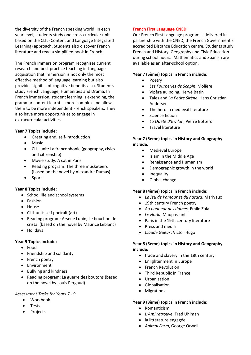the diversity of the French speaking world. In each year level, students study one cross curricular unit based on the CLIL (Content and Language Integrated Learning) approach. Students also discover French literature and read a simplified book in French.

The French Immersion program recognises current research and best practice teaching in Language acquisition that immersion is not only the most effective method of language learning but also provides significant cognitive benefits also. Students study French Language, Humanities and Drama. In French immersion, student learning is extending, the grammar content learnt is more complex and allows them to be more independent French speakers. They also have more opportunities to engage in extracurricular activities.

#### **Year 7 Topics include:**

- Greeting and, self-introduction
- Music
- CLIL unit: La francophonie (geography, civics and citizenship)
- Movie study: A cat in Paris
- Reading program: The three musketeers (based on the novel by Alexandre Dumas)
- Sport

# **Year 8 Topics include:**

- School life and school systems
- Fashion
- House
- CLIL unit: self portrait (art)
- Reading program: Arsene Lupin, Le bouchon de cristal (based on the novel by Maurice Leblanc)
- Holidays

#### **Year 9 Topics include:**

- Food
- Friendship and solidarity
- French poetry
- Environment
- Bullying and kindness
- Reading program: La guerre des boutons (based on the novel by Louis Pergaud)

#### *Assessment Tasks for Years 7 - 9*

- Workbook
- Tests
- Projects

#### **French First Language CNED**

Our French First Language program is delivered in partnership with the CNED, the French Government's accredited Distance Education centre. Students study French and History, Geography and Civic Education during school hours. Mathematics and Spanish are available as an after-school option.

#### **Year 7 (5ème) topics in French include:**

- Poetry
- *Les Fourberies de Scapin*, Molière
- Vipère au poing, Hervé Bazin
- Tales and *La Petite Sirène*, Hans Christian Andersen
- The hero in medieval literature
- Science fiction
- *La Quête d'Ewilan*, Pierre Bottero
- Travel literature

# **Year 7 (5ème) topics in History and Geography include:**

- Medieval Europe
- Islam in the Middle Age
- Renaissance and Humanism
- Demographic growth in the world
- Inequality
- Global change

# **Year 8 (4ème) topics in French include:**

- *Le Jeu de l'amour et du hasard*, Marivaux
- 19th century French poetry
- *Au bonheur des dames*, Emile Zola
- *Le Horla*, Maupassant
- Paris in the 19th century literature
- Press and media
- *Claude Gueux*, Victor Hugo

#### **Year 8 (5ème) topics in History and Geography include:**

- trade and slavery in the 18th century
- Enlightenment in Europe
- French Revolution
- Third Republic in France
- Urbanisation
- **•** Globalisation
- Migrations

#### **Year 9 (3ème) topics in French include:**

- Romanticism
- *L'Ami retrouvé*, Fred Uhlman
- la littérature engagée
- *Animal Farm*, George Orwell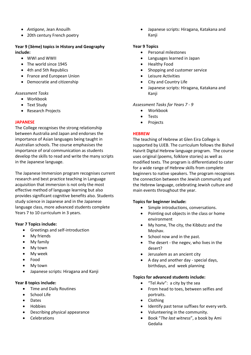- *Antigone*, Jean Anouilh
- 20th century French poetry

#### **Year 9 (3ème) topics in History and Geography include:**

- WWI and WWII
- The world since 1945
- 4th and 5th Republics
- France and European Union
- Democratie and citizenship

#### *Assessment Tasks*

- Workbook
- Text Study
- Research Projects

#### **JAPANESE**

The College recognises the strong relationship between Australia and Japan and endorses the importance of Asian languages being taught in Australian schools. The course emphasises the importance of oral communication as students develop the skills to read and write the many scripts in the Japanese language.

The Japanese Immersion program recognises current research and best practice teaching in Language acquisition that immersion is not only the most effective method of language learning but also provides significant cognitive benefits also. Students study science in Japanese and in the Japanese language class, more advanced students complete Years 7 to 10 curriculum in 3 years.

#### **Year 7 Topics include:**

- Greetings and self-introduction
- My friends
- My family
- My town
- My week
- Food
- My town
- Japanese scripts: Hiragana and Kanji

#### **Year 8 topics include:**

- Time and Daily Routines
- School Life
- Dates
- Hobbies
- Describing physical appearance
- Celebrations

 Japanese scripts: Hiragana, Katakana and Kanji

#### **Year 9 Topics**

- Personal milestones
- Languages learned in Japan
- Healthy Food
- Shopping and customer service
- Leisure Activities
- City and Country Life
- Japanese scripts: Hiragana, Katakana and Kanji

#### *Assessment Tasks for Years 7 - 9*

- Workbook
- **•** Tests
- Projects

#### **HEBREW**

The teaching of Hebrew at Glen Eira College is supported by UJEB. The curriculum follows the Bishvil Haivrit Digital Hebrew language program. The course uses original (poems, folklore stories) as well as modified texts. The program is differentiated to cater for a wide range of Hebrew skills from complete beginners to native speakers. The program recognises the connection between the Jewish community and the Hebrew language, celebrating Jewish culture and main events throughout the year.

#### **Topics for beginner include:**

- Simple introductions, conversations.
- Pointing out objects in the class or home environment
- My home, The city, the Kibbutz and the Moshav.
- School now and in the past.
- The desert the negev, who lives in the desert?
- Jerusalem as an ancient city
- A day and another day special days, birthdays, and week planning

#### **Topics for advanced students include:**

- "Tel Aviv": a city by the sea
- From head to toes, between selfies and portraits.
- Clothing
- Identify past tense suffixes for every verb.
- Volunteering in the community.
- Book "*The last witness*", a book by Ami Gedalia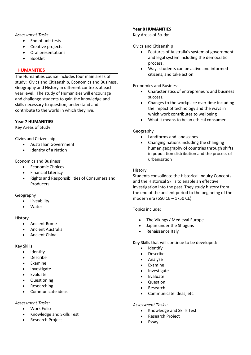#### *Assessment Tasks*

- End of unit tests
- Creative projects
- Oral presentations
- Booklet

#### **HUMANITIES**

The Humanities course includes four main areas of study: Civics and Citizenship, Economics and Business, Geography and History in different contexts at each year level. The study of Humanities will encourage and challenge students to gain the knowledge and skills necessary to question, understand and contribute to the world in which they live.

# **Year 7 HUMANITIES**

Key Areas of Study:

Civics and Citizenship

- Australian Government
- Identity of a Nation

#### Economics and Business

- Economic Choices
- Financial Literacy
- Rights and Responsibilities of Consumers and Producers

#### Geography

- Liveability
- Water

#### History

- Ancient Rome
- Ancient Australia
- Ancient China

#### Key Skills:

- Identify
- Describe
- Examine
- Investigate
- Evaluate
- Questioning
- Researching
- Communicate ideas

#### *Assessment Tasks:*

- Work Folio
- Knowledge and Skills Test
- Research Project

#### **Year 8 HUMANITIES**

Key Areas of Study:

#### Civics and Citizenship

- Features of Australia's system of government and legal system including the democratic process.
- Ways students can be active and informed citizens, and take action.

#### Economics and Business

- Characteristics of entrepreneurs and business success.
- Changes to the workplace over time including the impact of technology and the ways in which work contributes to wellbeing
- What it means to be an ethical consumer

# Geography

- Landforms and landscapes
- Changing nations including the changing human geography of countries through shifts in population distribution and the process of urbanisation

#### History

Students consolidate the Historical Inquiry Concepts and the Historical Skills to enable an effective investigation into the past. They study history from the end of the ancient period to the beginning of the modern era (650 CE – 1750 CE).

# Topics include:

- The Vikings / Medieval Europe
- Japan under the Shoguns
- Renaissance Italy

Key Skills that will continue to be developed:

- Identify
- Describe
- Analyse
- Examine
- Investigate
- Evaluate
- Question
- Research
- Communicate ideas, etc.

#### *Assessment Tasks:*

- Knowledge and Skills Test
- Research Project
- Essay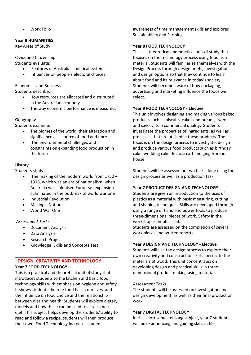Work Folio

# **Year 9 HUMANITIES**

Key Areas of Study:

Civics and Citizenship

Students evaluate:

- Features of Australia's political system,
- Influences on people's electoral choices.

Economics and Business Students describe:

- How resources are allocated and distributed in the Australian economy
- The way economic performance is measured.

Geography

Students examine:

- The biomes of the world, their alteration and significance as a source of food and fibre.
- The environmental challenges and constraints on expanding food production in the future.

# History

Students study:

- The making of the modern world from 1750 1918, which was an era of nationalism, when Australia was colonised European expansion culminated in the outbreak of world war one
- Industrial Revolution
- Making a Nation
- World War One

*Assessment Tasks:*

- Document Analysis
- Data Analysis
- Research Project
- Knowledge, Skills and Concepts Test

# **DESIGN, CREATIVITY AND TECHNOLOGY**

# **Year 7 FOOD TECHNOLOGY**

This is a practical and theoretical unit of study that introduces students to the kitchen and basic food technology skills with emphasis on hygiene and safety. It shows students the role food has in our lives, and the influence on food choice and the relationship between diet and health. Students will explore dietary models and how these can be used to assess their diet. This subject helps develop the students' ability to read and follow a recipe, students will then produce their own. Food Technology increases student

awareness of time management skills and explores Sustainability and Farming.

#### **Year 8 FOOD TECHNOLOGY**

This is a theoretical and practical unit of study that focuses on the technology process using food as a material. Students will familiarise themselves with the Design Process through design briefs, investigations and design options so that they continue to learn about food and its relevance in today's society. Students will become aware of how packaging, advertising and marketing influence the foods we select.

#### **Year 9 FOOD TECHNOLOGY - Elective**

This unit involves designing and making various baked products such as biscuits, cakes and breads, sweet and savory, to a commercial quality. Students investigate the properties of ingredients, as well as processes that are utilised in these products. The focus is on the design process to investigate, design and produce various food products such as birthday cake, wedding cake, focaccia art and gingerbread house.

Students will be assessed on two tasks done using the design process as well as a production task.

#### **Year 7 PRODUCT DESIGN AND TECHNOLOGY**

Students are given an introduction to the uses of plastics as a material with basic measuring, cutting and shaping techniques. Skills are developed through using a range of hand and power tools to produce three-dimensional pieces of work. Safety in the workshop is emphasised.

Students are assessed on the completion of several work pieces and written reports.

# **Year 9 DESIGN AND TECHNOLOGY - Elective**

Students will use the design process to explore their own creativity and construction skills specific to the materials of wood. This unit concentrates on developing design and practical skills in threedimensional product making using materials.

#### *Assessment Tasks*

The students will be assessed on investigation and design development, as well as their final production work.

#### **Year 7 DIGITAL TECHNOLOGY**

In this short semester-long subject, year 7 students will be experiencing and gaining skills in file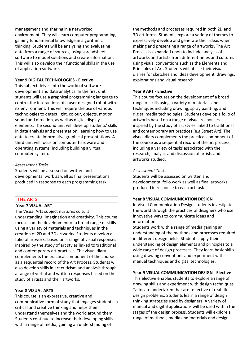management and sharing in a networked environment. They will learn computer programming, gaining fundamental knowledge in algorithmic thinking. Students will be analysing and evaluating data from a range of sources, using spreadsheet software to model solutions and create information. This will also develop their functional skills in the use of application software.

#### **Year 9 DIGITAL TECHNOLOGIES - Elective**

This subject delves into the world of software development and data analytics. In the first unit students will use a graphical programming language to control the interactions of a user designed robot with its environment. This will require the use of various technologies to detect light, colour, objects, motion, sound and direction, as well as digital display elements. The second unit will develop students' skills in data analysis and presentation, learning how to use data to create informative graphical presentations. A third unit will focus on computer hardware and operating systems, including building a virtual computer system.

#### *Assessment Tasks*

Students will be assessed on written and developmental work as well as final presentations produced in response to each programming task.

#### **THE ARTS**

# **Year 7 VISUAL ART**

The Visual Arts subject nurtures cultural understanding, imagination and creativity. This course focuses on the development of a broad range of skills using a variety of materials and techniques in the creation of 2D and 3D artworks. Students develop a folio of artworks based on a range of visual responses inspired by the study of art styles linked to traditional and contemporary art practices. The visual diary complements the practical component of the course as a sequential record of the Art Process. Students will also develop skills in art criticism and analysis through a range of verbal and written responses based on the study of artists and their artworks.

#### **Year 8 VISUAL ARTS**

This course is an expressive, creative and communicative form of study that engages students in critical and creative thinking and helps them understand themselves and the world around them. Students continue to increase their developing skills with a range of media, gaining an understanding of

the methods and processes required in both 2D and 3D art forms. Students explore a variety of themes to expressively develop and generate their ideas when making and presenting a range of artworks. The Art Process is expanded upon to include analysis of artworks and artists from different times and cultures using visual conventions such as the Elements and Principles of Art. Students will utilise their visual diaries for sketches and ideas development, drawings, explorations and visual research.

#### **Year 9 ART - Elective**

This course focuses on the development of a broad range of skills using a variety of materials and techniques including drawing, spray painting, and digital media technologies. Students develop a folio of artworks based on a range of visual responses inspired by the study of art styles linked to traditional and contemporary art practices (e.g Street Art). The visual diary complements the practical component of the course as a sequential record of the art process, including a variety of tasks associated with the research, analysis and discussion of artists and artworks studied.

#### *Assessment Tasks*

Students will be assessed on written and developmental folio work as well as final artworks produced in response to each art task.

#### **Year 8 VISUAL COMMUNICATION DESIGN**

In Visual Communication Design students investigate the world through the practices of designers who use innovative ways to communicate ideas and information.

Students work with a range of media gaining an understanding of the methods and processes required in different design fields. Students apply their understanding of design elements and principles to a wide range of design processes. They learn basic skills using drawing conventions and experiment with manual techniques and digital technologies.

#### **Year 9 VISUAL COMMUNICATION DESIGN - Elective**

This elective enables students to explore a range of drawing skills and experiment with design techniques. Tasks are undertaken that are reflective of real-life design problems. Students learn a range of design thinking strategies used by designers. A variety of manual and digital applications will be used within the stages of the design process. Students will explore a range of methods, media and materials and design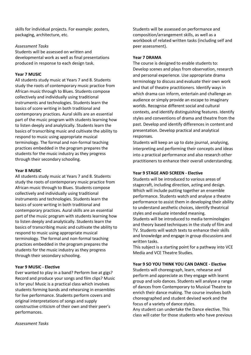skills for individual projects. For example: posters, packaging, architecture, etc.

#### *Assessment Tasks*

Students will be assessed on written and developmental work as well as final presentations produced in response to each design task.

#### **Year 7 MUSIC**

All students study music at Years 7 and 8. Students study the roots of contemporary music practice from African music through to Blues. Students compose collectively and individually using traditional instruments and technologies. Students learn the basics of score writing in both traditional and contemporary practices. Aural skills are an essential part of the music program with students learning how to listen deeply and analytically. Students learn the basics of transcribing music and cultivate the ability to respond to music using appropriate musical terminology. The formal and non-formal teaching practices embedded in the program prepares the students for the music industry as they progress through their secondary schooling.

#### **Year 8 MUSIC**

All students study music at Years 7 and 8. Students study the roots of contemporary music practice from African music through to Blues. Students compose collectively and individually using traditional instruments and technologies. Students learn the basics of score writing in both traditional and contemporary practices. Aural skills are an essential part of the music program with students learning how to listen deeply and analytically. Students learn the basics of transcribing music and cultivate the ability to respond to music using appropriate musical terminology. The formal and non-formal teaching practices embedded in the program prepares the students for the music industry as they progress through their secondary schooling.

#### **Year 9 MUSIC - Elective**

Ever wanted to play in a band? Perform live at gigs? Record and produce your songs and film clips? Music is for you! Music is a practical class which involves students forming bands and rehearsing in ensembles for live performance. Students perform covers and original interpretations of songs and supply constructive criticism of their own and their peer's performances.

Students will be assessed on performance and composition/arrangement skills, as well as a workbook of related written tasks (including self and peer assessment).

#### **Year 7 DRAMA**

The course is designed to enable students to: Develop scenes and plays from observation, research and personal experience. Use appropriate drama terminology to discuss and evaluate their own work and that of theatre practitioners. Identify ways in which drama can inform, entertain and challenge an audience or simply provide an escape to imaginary worlds. Recognise different social and cultural contexts, and identify distinguishing features. Identify styles and conventions of drama and theatre from the past. Develop and identify differences in content and presentation. Develop practical and analytical responses.

Students will keep an up to date journal, analysing, interpreting and performing their concepts and ideas into a practical performance and also research other practitioners to enhance their overall understanding.

#### **Year 9 STAGE AND SCREEN - Elective**

Students will be introduced to various areas of stagecraft, including direction, acting and design. Which will include putting together an ensemble performance. Students watch and analyse a theatre performance to assist them in developing their ability to understand aesthetic choices, identify theatrical styles and evaluate intended meaning. Students will be introduced to media terminologies and theory based techniques in the study of film and TV. Students will watch texts to enhance their skills and knowledge and engage in group discussions and written tasks.

This subject is a starting point for a pathway into VCE Media and VCE Theatre Studies.

#### **Year 9 SO YOU THINK YOU CAN DANCE - Elective**

Students will choreograph, learn, rehearse and perform and appreciate as they engage with learnt group and solo dances. Students will analyse a range of dances from Contemporary to Musical Theatre to enrich their dance making. The course involves both choreographed and student devised work and the focus of a variety of dance styles.

Any student can undertake the Dance elective. This class will cater for those students who have previous